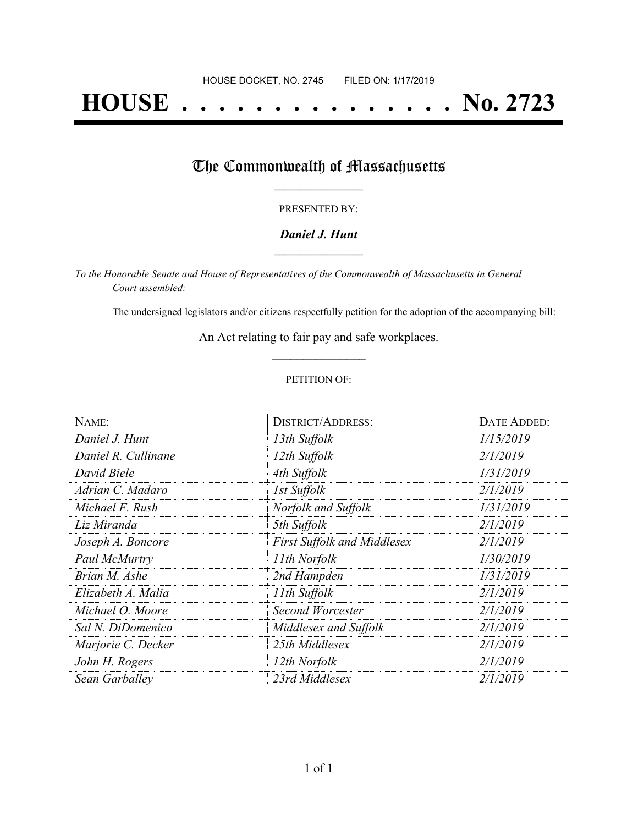# **HOUSE . . . . . . . . . . . . . . . No. 2723**

## The Commonwealth of Massachusetts

#### PRESENTED BY:

#### *Daniel J. Hunt* **\_\_\_\_\_\_\_\_\_\_\_\_\_\_\_\_\_**

*To the Honorable Senate and House of Representatives of the Commonwealth of Massachusetts in General Court assembled:*

The undersigned legislators and/or citizens respectfully petition for the adoption of the accompanying bill:

An Act relating to fair pay and safe workplaces. **\_\_\_\_\_\_\_\_\_\_\_\_\_\_\_**

#### PETITION OF:

| NAME:               | <b>DISTRICT/ADDRESS:</b>           | DATE ADDED: |
|---------------------|------------------------------------|-------------|
| Daniel J. Hunt      | 13th Suffolk                       | 1/15/2019   |
| Daniel R. Cullinane | 12th Suffolk                       | 2/1/2019    |
| David Biele         | 4th Suffolk                        | 1/31/2019   |
| Adrian C. Madaro    | 1st Suffolk                        | 2/1/2019    |
| Michael F. Rush     | Norfolk and Suffolk                | 1/31/2019   |
| Liz Miranda         | 5th Suffolk                        | 2/1/2019    |
| Joseph A. Boncore   | <b>First Suffolk and Middlesex</b> | 2/1/2019    |
| Paul McMurtry       | 11th Norfolk                       | 1/30/2019   |
| Brian M. Ashe       | 2nd Hampden                        | 1/31/2019   |
| Elizabeth A. Malia  | 11th Suffolk                       | 2/1/2019    |
| Michael O. Moore    | <b>Second Worcester</b>            | 2/1/2019    |
| Sal N. DiDomenico   | Middlesex and Suffolk              | 2/1/2019    |
| Marjorie C. Decker  | 25th Middlesex                     | 2/1/2019    |
| John H. Rogers      | 12th Norfolk                       | 2/1/2019    |
| Sean Garballey      | 23rd Middlesex                     | 2/1/2019    |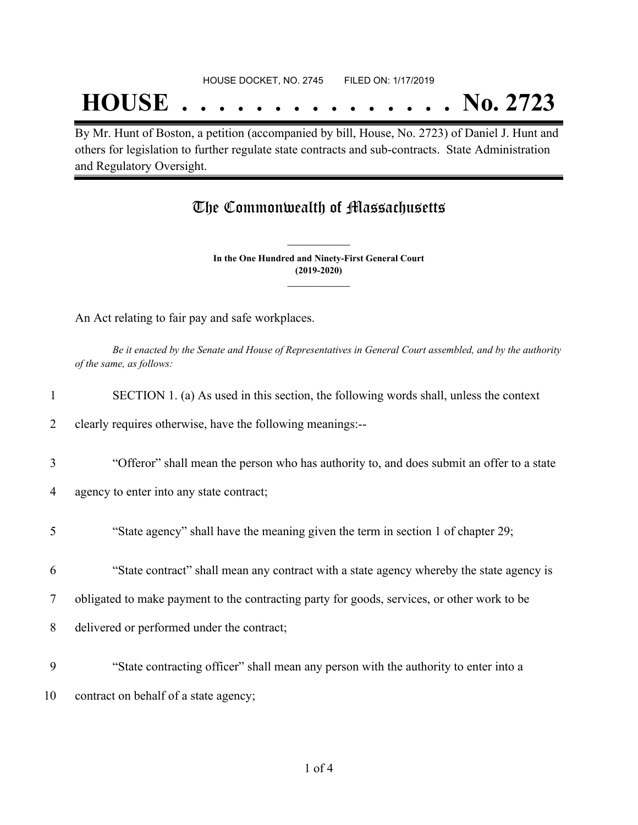## **HOUSE . . . . . . . . . . . . . . . No. 2723**

By Mr. Hunt of Boston, a petition (accompanied by bill, House, No. 2723) of Daniel J. Hunt and others for legislation to further regulate state contracts and sub-contracts. State Administration and Regulatory Oversight.

### The Commonwealth of Massachusetts

**In the One Hundred and Ninety-First General Court (2019-2020) \_\_\_\_\_\_\_\_\_\_\_\_\_\_\_**

**\_\_\_\_\_\_\_\_\_\_\_\_\_\_\_**

An Act relating to fair pay and safe workplaces.

Be it enacted by the Senate and House of Representatives in General Court assembled, and by the authority *of the same, as follows:*

| SECTION 1. (a) As used in this section, the following words shall, unless the context |
|---------------------------------------------------------------------------------------|
|                                                                                       |

2 clearly requires otherwise, have the following meanings:--

3 "Offeror" shall mean the person who has authority to, and does submit an offer to a state

4 agency to enter into any state contract;

5 "State agency" shall have the meaning given the term in section 1 of chapter 29;

6 "State contract" shall mean any contract with a state agency whereby the state agency is

7 obligated to make payment to the contracting party for goods, services, or other work to be

8 delivered or performed under the contract;

9 "State contracting officer" shall mean any person with the authority to enter into a 10 contract on behalf of a state agency;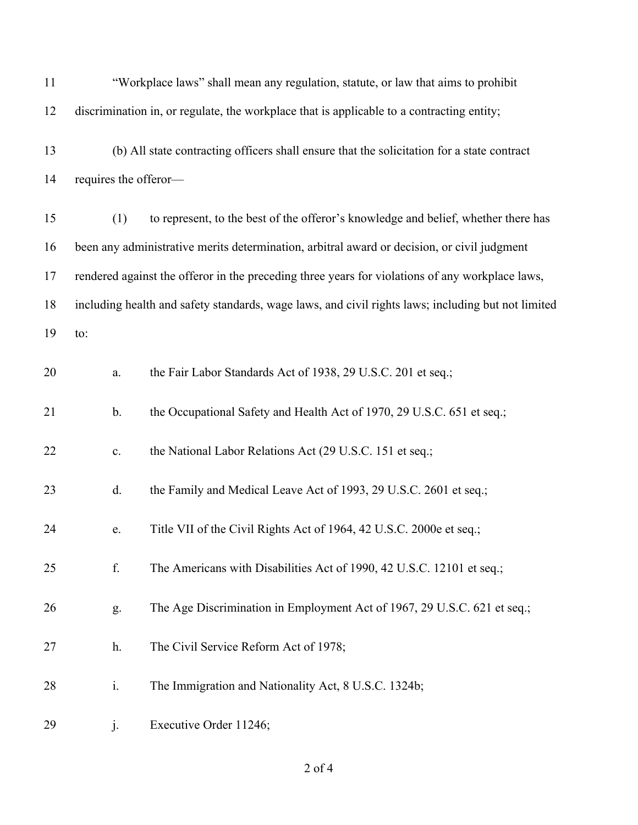| 11 |                       | "Workplace laws" shall mean any regulation, statute, or law that aims to prohibit                  |
|----|-----------------------|----------------------------------------------------------------------------------------------------|
| 12 |                       | discrimination in, or regulate, the workplace that is applicable to a contracting entity;          |
| 13 |                       | (b) All state contracting officers shall ensure that the solicitation for a state contract         |
| 14 | requires the offeror- |                                                                                                    |
| 15 | (1)                   | to represent, to the best of the offeror's knowledge and belief, whether there has                 |
| 16 |                       | been any administrative merits determination, arbitral award or decision, or civil judgment        |
| 17 |                       | rendered against the offeror in the preceding three years for violations of any workplace laws,    |
| 18 |                       | including health and safety standards, wage laws, and civil rights laws; including but not limited |
| 19 | to:                   |                                                                                                    |
| 20 | a.                    | the Fair Labor Standards Act of 1938, 29 U.S.C. 201 et seq.;                                       |
| 21 | $\mathbf b$ .         | the Occupational Safety and Health Act of 1970, 29 U.S.C. 651 et seq.;                             |
| 22 | c.                    | the National Labor Relations Act (29 U.S.C. 151 et seq.;                                           |
| 23 | d.                    | the Family and Medical Leave Act of 1993, 29 U.S.C. 2601 et seq.;                                  |
| 24 | e.                    | Title VII of the Civil Rights Act of 1964, 42 U.S.C. 2000e et seq.;                                |
| 25 | f.                    | The Americans with Disabilities Act of 1990, 42 U.S.C. 12101 et seq.;                              |
| 26 | g.                    | The Age Discrimination in Employment Act of 1967, 29 U.S.C. 621 et seq.;                           |
| 27 | h.                    | The Civil Service Reform Act of 1978;                                                              |
| 28 | i.                    | The Immigration and Nationality Act, 8 U.S.C. 1324b;                                               |
| 29 | $\dot{J}$ .           | Executive Order 11246;                                                                             |

of 4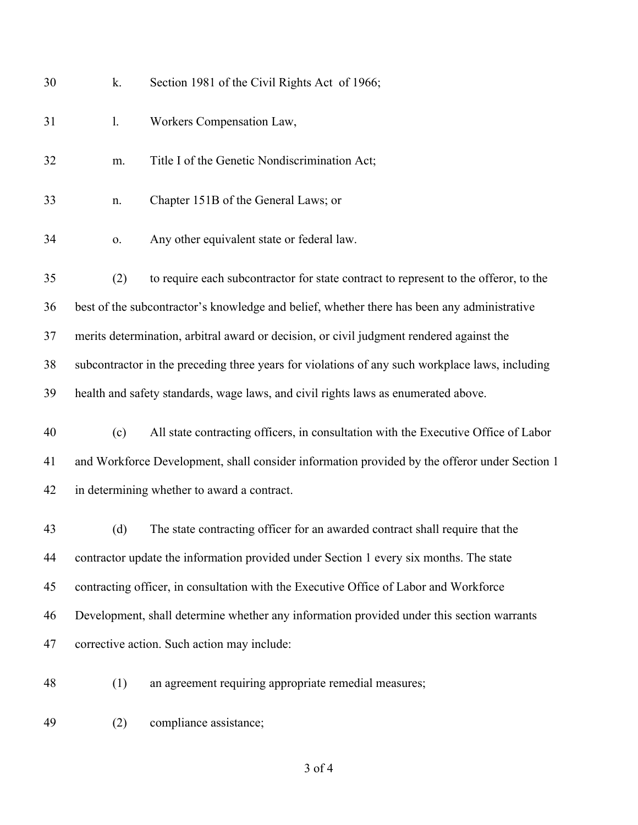| 30 | k.                                                                                              | Section 1981 of the Civil Rights Act of 1966;                                               |  |  |
|----|-------------------------------------------------------------------------------------------------|---------------------------------------------------------------------------------------------|--|--|
| 31 | 1.                                                                                              | Workers Compensation Law,                                                                   |  |  |
| 32 | m.                                                                                              | Title I of the Genetic Nondiscrimination Act;                                               |  |  |
| 33 | n.                                                                                              | Chapter 151B of the General Laws; or                                                        |  |  |
| 34 | 0.                                                                                              | Any other equivalent state or federal law.                                                  |  |  |
| 35 | (2)                                                                                             | to require each subcontractor for state contract to represent to the offeror, to the        |  |  |
| 36 |                                                                                                 | best of the subcontractor's knowledge and belief, whether there has been any administrative |  |  |
| 37 | merits determination, arbitral award or decision, or civil judgment rendered against the        |                                                                                             |  |  |
| 38 | subcontractor in the preceding three years for violations of any such workplace laws, including |                                                                                             |  |  |
| 39 |                                                                                                 | health and safety standards, wage laws, and civil rights laws as enumerated above.          |  |  |
| 40 | (c)                                                                                             | All state contracting officers, in consultation with the Executive Office of Labor          |  |  |
| 41 | and Workforce Development, shall consider information provided by the offeror under Section 1   |                                                                                             |  |  |
| 42 | in determining whether to award a contract.                                                     |                                                                                             |  |  |
| 43 | (d)                                                                                             | The state contracting officer for an awarded contract shall require that the                |  |  |
| 44 | contractor update the information provided under Section 1 every six months. The state          |                                                                                             |  |  |
| 45 | contracting officer, in consultation with the Executive Office of Labor and Workforce           |                                                                                             |  |  |
| 46 | Development, shall determine whether any information provided under this section warrants       |                                                                                             |  |  |
| 47 | corrective action. Such action may include:                                                     |                                                                                             |  |  |
| 48 | (1)                                                                                             | an agreement requiring appropriate remedial measures;                                       |  |  |

(2) compliance assistance;

of 4